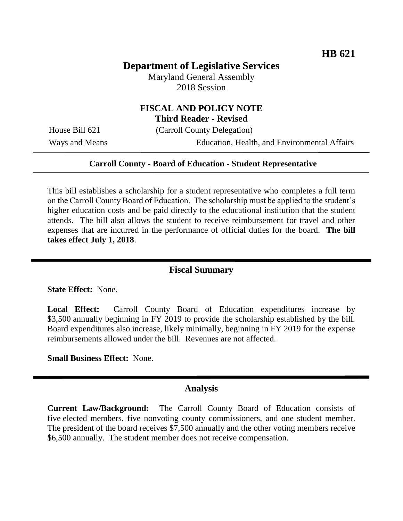# **Department of Legislative Services**

Maryland General Assembly 2018 Session

## **FISCAL AND POLICY NOTE Third Reader - Revised**

House Bill 621 (Carroll County Delegation)

Ways and Means Education, Health, and Environmental Affairs

#### **Carroll County - Board of Education - Student Representative**

This bill establishes a scholarship for a student representative who completes a full term on the Carroll County Board of Education. The scholarship must be applied to the student's higher education costs and be paid directly to the educational institution that the student attends. The bill also allows the student to receive reimbursement for travel and other expenses that are incurred in the performance of official duties for the board. **The bill takes effect July 1, 2018**.

## **Fiscal Summary**

### **State Effect:** None.

**Local Effect:** Carroll County Board of Education expenditures increase by \$3,500 annually beginning in FY 2019 to provide the scholarship established by the bill. Board expenditures also increase, likely minimally, beginning in FY 2019 for the expense reimbursements allowed under the bill. Revenues are not affected.

**Small Business Effect:** None.

#### **Analysis**

**Current Law/Background:** The Carroll County Board of Education consists of five elected members, five nonvoting county commissioners, and one student member. The president of the board receives \$7,500 annually and the other voting members receive \$6,500 annually. The student member does not receive compensation.